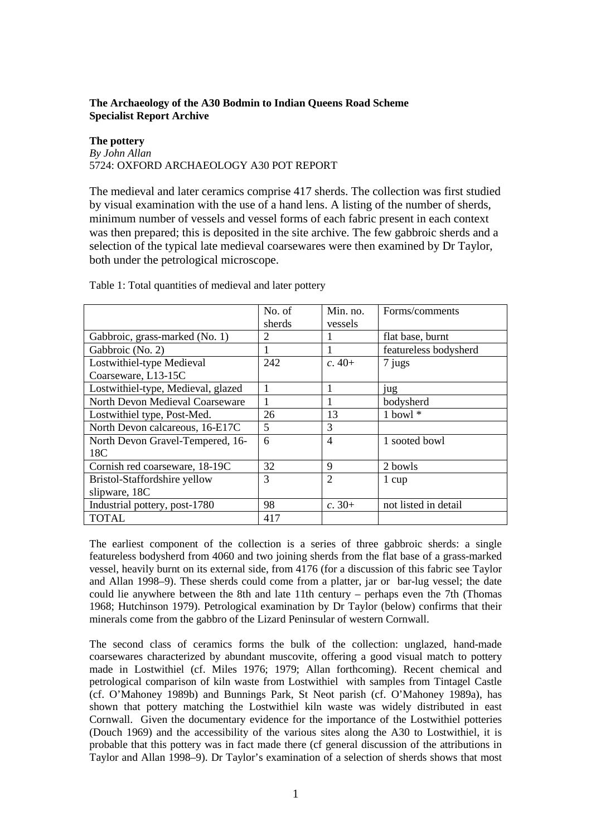# **The Archaeology of the A30 Bodmin to Indian Queens Road Scheme Specialist Report Archive**

## **The pottery**

*By John Allan* 5724: OXFORD ARCHAEOLOGY A30 POT REPORT

The medieval and later ceramics comprise 417 sherds. The collection was first studied by visual examination with the use of a hand lens. A listing of the number of sherds, minimum number of vessels and vessel forms of each fabric present in each context was then prepared; this is deposited in the site archive. The few gabbroic sherds and a selection of the typical late medieval coarsewares were then examined by Dr Taylor, both under the petrological microscope.

|                                    | No. of | Min. no.       | Forms/comments        |
|------------------------------------|--------|----------------|-----------------------|
|                                    | sherds | vessels        |                       |
| Gabbroic, grass-marked (No. 1)     | 2      |                | flat base, burnt      |
| Gabbroic (No. 2)                   |        |                | featureless bodysherd |
| Lostwithiel-type Medieval          | 242    | $c.40+$        | 7 jugs                |
| Coarseware, L13-15C                |        |                |                       |
| Lostwithiel-type, Medieval, glazed | 1      | 1              | <b>jug</b>            |
| North Devon Medieval Coarseware    | 1      |                | bodysherd             |
| Lostwithiel type, Post-Med.        | 26     | 13             | $1$ bowl $*$          |
| North Devon calcareous, 16-E17C    | 5      | 3              |                       |
| North Devon Gravel-Tempered, 16-   | 6      | $\overline{4}$ | 1 sooted bowl         |
| 18C                                |        |                |                       |
| Cornish red coarseware, 18-19C     | 32     | 9              | 2 bowls               |
| Bristol-Staffordshire yellow       | 3      | $\overline{2}$ | 1 cup                 |
| slipware, 18C                      |        |                |                       |
| Industrial pottery, post-1780      | 98     | $c.30+$        | not listed in detail  |
| <b>TOTAL</b>                       | 417    |                |                       |

Table 1: Total quantities of medieval and later pottery

The earliest component of the collection is a series of three gabbroic sherds: a single featureless bodysherd from 4060 and two joining sherds from the flat base of a grass-marked vessel, heavily burnt on its external side, from 4176 (for a discussion of this fabric see Taylor and Allan 1998–9). These sherds could come from a platter, jar or bar-lug vessel; the date could lie anywhere between the 8th and late 11th century – perhaps even the 7th (Thomas 1968; Hutchinson 1979). Petrological examination by Dr Taylor (below) confirms that their minerals come from the gabbro of the Lizard Peninsular of western Cornwall.

The second class of ceramics forms the bulk of the collection: unglazed, hand-made coarsewares characterized by abundant muscovite, offering a good visual match to pottery made in Lostwithiel (cf. Miles 1976; 1979; Allan forthcoming). Recent chemical and petrological comparison of kiln waste from Lostwithiel with samples from Tintagel Castle (cf. O'Mahoney 1989b) and Bunnings Park, St Neot parish (cf. O'Mahoney 1989a), has shown that pottery matching the Lostwithiel kiln waste was widely distributed in east Cornwall. Given the documentary evidence for the importance of the Lostwithiel potteries (Douch 1969) and the accessibility of the various sites along the A30 to Lostwithiel, it is probable that this pottery was in fact made there (cf general discussion of the attributions in Taylor and Allan 1998–9). Dr Taylor's examination of a selection of sherds shows that most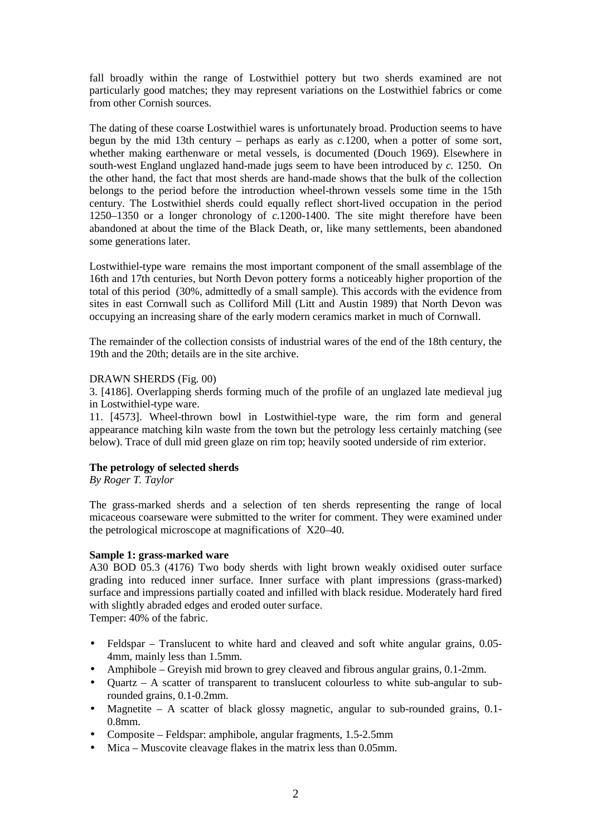fall broadly within the range of Lostwithiel pottery but two sherds examined are not particularly good matches; they may represent variations on the Lostwithiel fabrics or come from other Cornish sources.

The dating of these coarse Lostwithiel wares is unfortunately broad. Production seems to have begun by the mid 13th century – perhaps as early as *c.*1200, when a potter of some sort, whether making earthenware or metal vessels, is documented (Douch 1969). Elsewhere in south-west England unglazed hand-made jugs seem to have been introduced by *c.* 1250. On the other hand, the fact that most sherds are hand-made shows that the bulk of the collection belongs to the period before the introduction wheel-thrown vessels some time in the 15th century. The Lostwithiel sherds could equally reflect short-lived occupation in the period 1250–1350 or a longer chronology of *c.*1200-1400. The site might therefore have been abandoned at about the time of the Black Death, or, like many settlements, been abandoned some generations later.

Lostwithiel-type ware remains the most important component of the small assemblage of the 16th and 17th centuries, but North Devon pottery forms a noticeably higher proportion of the total of this period (30%, admittedly of a small sample). This accords with the evidence from sites in east Cornwall such as Colliford Mill (Litt and Austin 1989) that North Devon was occupying an increasing share of the early modern ceramics market in much of Cornwall.

The remainder of the collection consists of industrial wares of the end of the 18th century, the 19th and the 20th; details are in the site archive.

## DRAWN SHERDS (Fig. 00)

3. [4186]. Overlapping sherds forming much of the profile of an unglazed late medieval jug in Lostwithiel-type ware.

11. [4573]. Wheel-thrown bowl in Lostwithiel-type ware, the rim form and general appearance matching kiln waste from the town but the petrology less certainly matching (see below). Trace of dull mid green glaze on rim top; heavily sooted underside of rim exterior.

## **The petrology of selected sherds**

*By Roger T. Taylor*

The grass-marked sherds and a selection of ten sherds representing the range of local micaceous coarseware were submitted to the writer for comment. They were examined under the petrological microscope at magnifications of X20–40.

#### **Sample 1: grass-marked ware**

A30 BOD 05.3 (4176) Two body sherds with light brown weakly oxidised outer surface grading into reduced inner surface. Inner surface with plant impressions (grass-marked) surface and impressions partially coated and infilled with black residue. Moderately hard fired with slightly abraded edges and eroded outer surface.

Temper: 40% of the fabric.

- Feldspar Translucent to white hard and cleaved and soft white angular grains, 0.05-4mm, mainly less than 1.5mm.
- Amphibole Greyish mid brown to grey cleaved and fibrous angular grains, 0.1-2mm.
- Quartz A scatter of transparent to translucent colourless to white sub-angular to subrounded grains, 0.1-0.2mm.
- Magnetite A scatter of black glossy magnetic, angular to sub-rounded grains, 0.1-0.8mm.
- Composite Feldspar: amphibole, angular fragments, 1.5-2.5mm
- Mica Muscovite cleavage flakes in the matrix less than 0.05mm.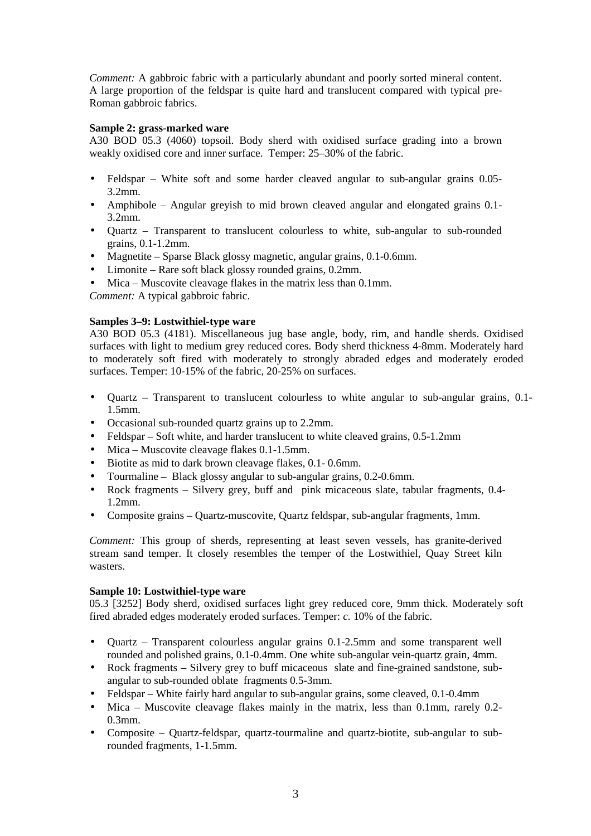*Comment:* A gabbroic fabric with a particularly abundant and poorly sorted mineral content. A large proportion of the feldspar is quite hard and translucent compared with typical pre-Roman gabbroic fabrics.

# **Sample 2: grass-marked ware**

A30 BOD 05.3 (4060) topsoil. Body sherd with oxidised surface grading into a brown weakly oxidised core and inner surface. Temper: 25–30% of the fabric.

- Feldspar White soft and some harder cleaved angular to sub-angular grains 0.05-3.2mm.
- Amphibole Angular greyish to mid brown cleaved angular and elongated grains 0.1- 3.2mm.
- Quartz Transparent to translucent colourless to white, sub-angular to sub-rounded grains, 0.1-1.2mm.
- Magnetite Sparse Black glossy magnetic, angular grains, 0.1-0.6mm.
- Limonite Rare soft black glossy rounded grains, 0.2mm.
- Mica Muscovite cleavage flakes in the matrix less than 0.1mm.

*Comment:* A typical gabbroic fabric.

## **Samples 3–9: Lostwithiel-type ware**

A30 BOD 05.3 (4181). Miscellaneous jug base angle, body, rim, and handle sherds. Oxidised surfaces with light to medium grey reduced cores. Body sherd thickness 4-8mm. Moderately hard to moderately soft fired with moderately to strongly abraded edges and moderately eroded surfaces. Temper: 10-15% of the fabric, 20-25% on surfaces.

- Quartz Transparent to translucent colourless to white angular to sub-angular grains, 0.1- 1.5mm.
- Occasional sub-rounded quartz grains up to 2.2mm.
- Feldspar Soft white, and harder translucent to white cleaved grains, 0.5-1.2mm
- Mica Muscovite cleavage flakes 0.1-1.5mm.
- Biotite as mid to dark brown cleavage flakes, 0.1- 0.6mm.
- Tourmaline Black glossy angular to sub-angular grains, 0.2-0.6mm.
- Rock fragments Silvery grey, buff and pink micaceous slate, tabular fragments, 0.4- 1.2mm.
- Composite grains Quartz-muscovite, Quartz feldspar, sub-angular fragments, 1mm.

*Comment:* This group of sherds, representing at least seven vessels, has granite-derived stream sand temper. It closely resembles the temper of the Lostwithiel, Quay Street kiln wasters.

## **Sample 10: Lostwithiel-type ware**

05.3 [3252] Body sherd, oxidised surfaces light grey reduced core, 9mm thick. Moderately soft fired abraded edges moderately eroded surfaces. Temper: *c.* 10% of the fabric.

- Quartz Transparent colourless angular grains 0.1-2.5mm and some transparent well rounded and polished grains, 0.1-0.4mm. One white sub-angular vein-quartz grain, 4mm.
- Rock fragments Silvery grey to buff micaceous slate and fine-grained sandstone, subangular to sub-rounded oblate fragments 0.5-3mm.
- Feldspar White fairly hard angular to sub-angular grains, some cleaved, 0.1-0.4mm
- Mica Muscovite cleavage flakes mainly in the matrix, less than 0.1mm, rarely 0.2-0.3mm.
- Composite Quartz-feldspar, quartz-tourmaline and quartz-biotite, sub-angular to subrounded fragments, 1-1.5mm.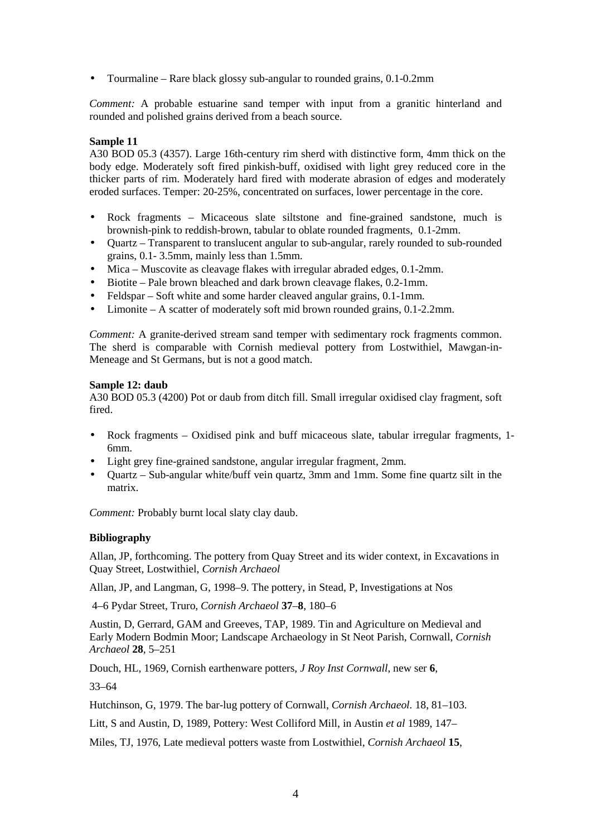• Tourmaline – Rare black glossy sub-angular to rounded grains, 0.1-0.2mm

*Comment:* A probable estuarine sand temper with input from a granitic hinterland and rounded and polished grains derived from a beach source.

## **Sample 11**

A30 BOD 05.3 (4357). Large 16th-century rim sherd with distinctive form, 4mm thick on the body edge. Moderately soft fired pinkish-buff, oxidised with light grey reduced core in the thicker parts of rim. Moderately hard fired with moderate abrasion of edges and moderately eroded surfaces. Temper: 20-25%, concentrated on surfaces, lower percentage in the core.

- Rock fragments Micaceous slate siltstone and fine-grained sandstone, much is brownish-pink to reddish-brown, tabular to oblate rounded fragments, 0.1-2mm.
- Quartz Transparent to translucent angular to sub-angular, rarely rounded to sub-rounded grains, 0.1- 3.5mm, mainly less than 1.5mm.
- Mica Muscovite as cleavage flakes with irregular abraded edges, 0.1-2mm.
- Biotite Pale brown bleached and dark brown cleavage flakes, 0.2-1mm.
- Feldspar Soft white and some harder cleaved angular grains, 0.1-1mm.
- Limonite A scatter of moderately soft mid brown rounded grains, 0.1-2.2mm.

*Comment:* A granite-derived stream sand temper with sedimentary rock fragments common. The sherd is comparable with Cornish medieval pottery from Lostwithiel, Mawgan-in-Meneage and St Germans, but is not a good match.

#### **Sample 12: daub**

A30 BOD 05.3 (4200) Pot or daub from ditch fill. Small irregular oxidised clay fragment, soft fired.

- Rock fragments Oxidised pink and buff micaceous slate, tabular irregular fragments, 1- 6mm.
- Light grey fine-grained sandstone, angular irregular fragment, 2mm.
- Quartz Sub-angular white/buff vein quartz, 3mm and 1mm. Some fine quartz silt in the matrix.

*Comment:* Probably burnt local slaty clay daub.

## **Bibliography**

Allan, JP, forthcoming. The pottery from Quay Street and its wider context, in Excavations in Quay Street, Lostwithiel, *Cornish Archaeol*

Allan, JP, and Langman, G, 1998–9. The pottery, in Stead, P, Investigations at Nos

4–6 Pydar Street, Truro, *Cornish Archaeol* **37**–**8**, 180–6

Austin, D, Gerrard, GAM and Greeves, TAP, 1989. Tin and Agriculture on Medieval and Early Modern Bodmin Moor; Landscape Archaeology in St Neot Parish, Cornwall, *Cornish Archaeol* **28**, 5–251

Douch, HL, 1969, Cornish earthenware potters, *J Roy Inst Cornwall*, new ser **6**,

33–64

Hutchinson, G, 1979. The bar-lug pottery of Cornwall, *Cornish Archaeol.* 18, 81–103.

Litt, S and Austin, D, 1989, Pottery: West Colliford Mill, in Austin *et al* 1989, 147–

Miles, TJ, 1976, Late medieval potters waste from Lostwithiel, *Cornish Archaeol* **15**,